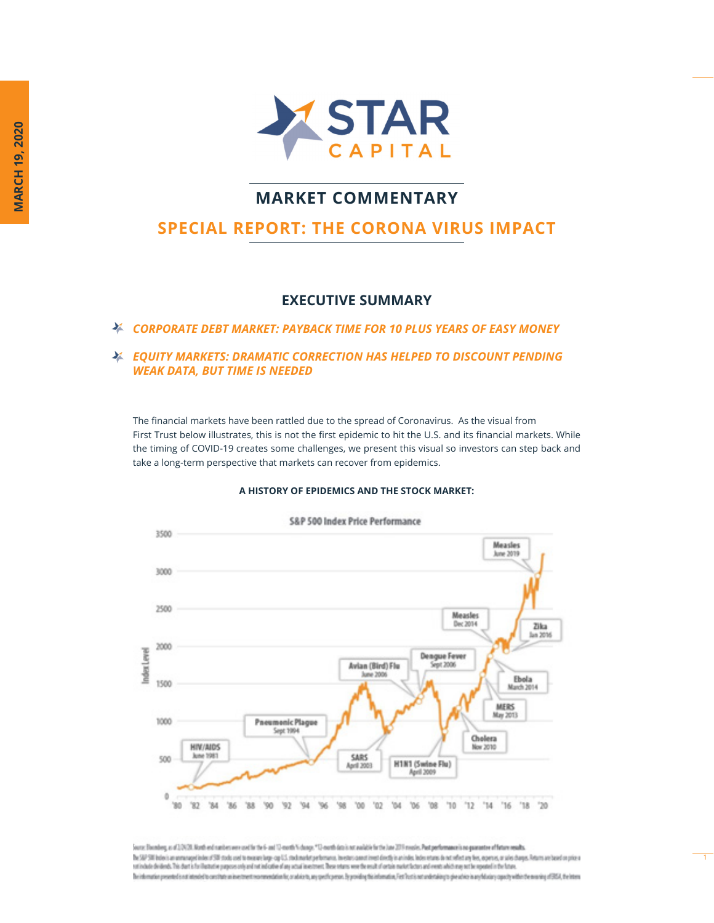

## **MARKET COMMENTARY**

# **SPECIAL REPORT: THE CORONA VIRUS IMPACT**

### **EXECUTIVE SUMMARY**

*CORPORATE DEBT MARKET: PAYBACK TIME FOR 10 PLUS YEARS OF EASY MONEY*

### *EQUITY MARKETS: DRAMATIC CORRECTION HAS HELPED TO DISCOUNT PENDING WEAK DATA, BUT TIME IS NEEDED*

The financial markets have been rattled due to the spread of Coronavirus. As the visual from First Trust below illustrates, this is not the first epidemic to hit the U.S. and its financial markets. While the timing of COVID-19 creates some challenges, we present this visual so investors can step back and take a long-term perspective that markets can recover from epidemics.

#### **A HISTORY OF EPIDEMICS AND THE STOCK MARKET:**



Source: Electrology, as of 2,0920. North end numbers over eard for the 6- and 12-month N change. "I 2-month data is not available for the late 2010 mostes. Post performance is no gaurantee of future results. The SMP SM before an enterapy elimine or SMP model to measure large-cap LSL mechanizing elements, incentious constitutes from interaction of both retares do not reflect any five, expense, or sales changes. Petern are based nationale dividends. This dust is further to detect or purpose only and not allocate of any actual meeter may were the most of ortain market lactors and events which may worker in the hopes of the future. The information presented is not intered to constitute as investment recommendation for, or advice to, any specific person. By providing this information, For Paction on andersidency specific in any follocally specific the

1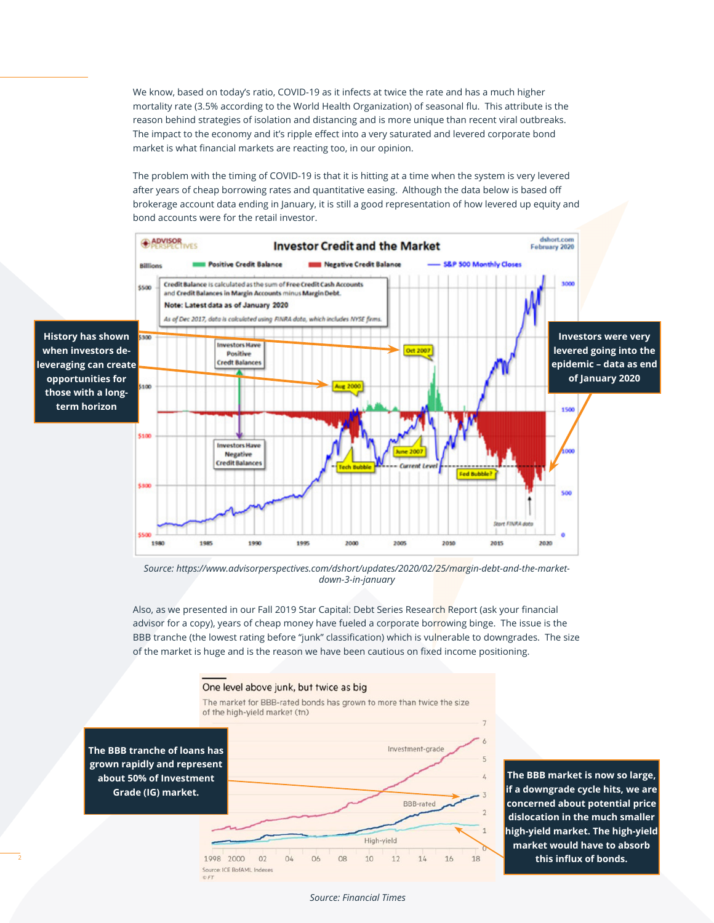We know, based on today's ratio, COVID-19 as it infects at twice the rate and has a much higher mortality rate (3.5% according to the World Health Organization) of seasonal flu. This attribute is the reason behind strategies of isolation and distancing and is more unique than recent viral outbreaks. The impact to the economy and it's ripple effect into a very saturated and levered corporate bond market is what financial markets are reacting too, in our opinion.

The problem with the timing of COVID-19 is that it is hitting at a time when the system is very levered after years of cheap borrowing rates and quantitative easing. Although the data below is based off brokerage account data ending in January, it is still a good representation of how levered up equity and bond accounts were for the retail investor.



*Source: https://www.advisorperspectives.com/dshort/updates/2020/02/25/margin-debt-and-the-marketdown-3-in-january*

Also, as we presented in our Fall 2019 Star Capital: Debt Series Research Report (ask your financial advisor for a copy), years of cheap money have fueled a corporate borrowing binge. The issue is the BBB tranche (the lowest rating before "junk" classification) which is vulnerable to downgrades. The size of the market is huge and is the reason we have been cautious on fixed income positioning.

Investment-grade

**BBB-rated** 

 $14$ 

#### One level above junk, but twice as big

The market for BBB-rated bonds has grown to more than twice the size of the high-yield market (tn)

**The BBB tranche of loans has grown rapidly and represent about 50% of Investment Grade (IG) market.**

**The BBB market is now so large, if a downgrade cycle hits, we are concerned about potential price dislocation in the much smaller**   $\overline{1}$ **high-yield market. The high-yield market would have to absorb**   $16$ 18 **this influx of bonds.**

1998 2000

Source: ICE BofAML Indexes

 $O<sub>2</sub>$ 

 $04$ 

06

08

High-yield

 $12$ 

 $10$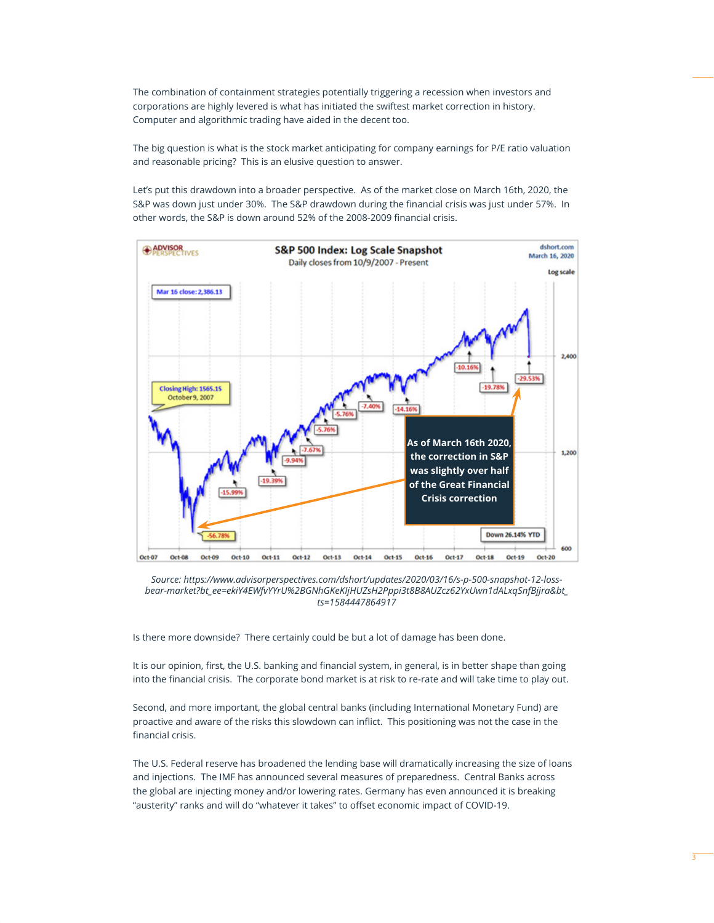The combination of containment strategies potentially triggering a recession when investors and corporations are highly levered is what has initiated the swiftest market correction in history. Computer and algorithmic trading have aided in the decent too.

The big question is what is the stock market anticipating for company earnings for P/E ratio valuation and reasonable pricing? This is an elusive question to answer.

Let's put this drawdown into a broader perspective. As of the market close on March 16th, 2020, the S&P was down just under 30%. The S&P drawdown during the financial crisis was just under 57%. In other words, the S&P is down around 52% of the 2008-2009 financial crisis.



*Source: https://www.advisorperspectives.com/dshort/updates/2020/03/16/s-p-500-snapshot-12-lossbear-market?bt\_ee=ekiY4EWfvYYrU%2BGNhGKeKIjHUZsH2Pppi3t8B8AUZcz62YxUwn1dALxqSnfBjjra&bt\_ ts=1584447864917*

Is there more downside? There certainly could be but a lot of damage has been done.

It is our opinion, first, the U.S. banking and financial system, in general, is in better shape than going into the financial crisis. The corporate bond market is at risk to re-rate and will take time to play out.

Second, and more important, the global central banks (including International Monetary Fund) are proactive and aware of the risks this slowdown can inflict. This positioning was not the case in the financial crisis.

The U.S. Federal reserve has broadened the lending base will dramatically increasing the size of loans and injections. The IMF has announced several measures of preparedness. Central Banks across the global are injecting money and/or lowering rates. Germany has even announced it is breaking "austerity" ranks and will do "whatever it takes" to offset economic impact of COVID-19.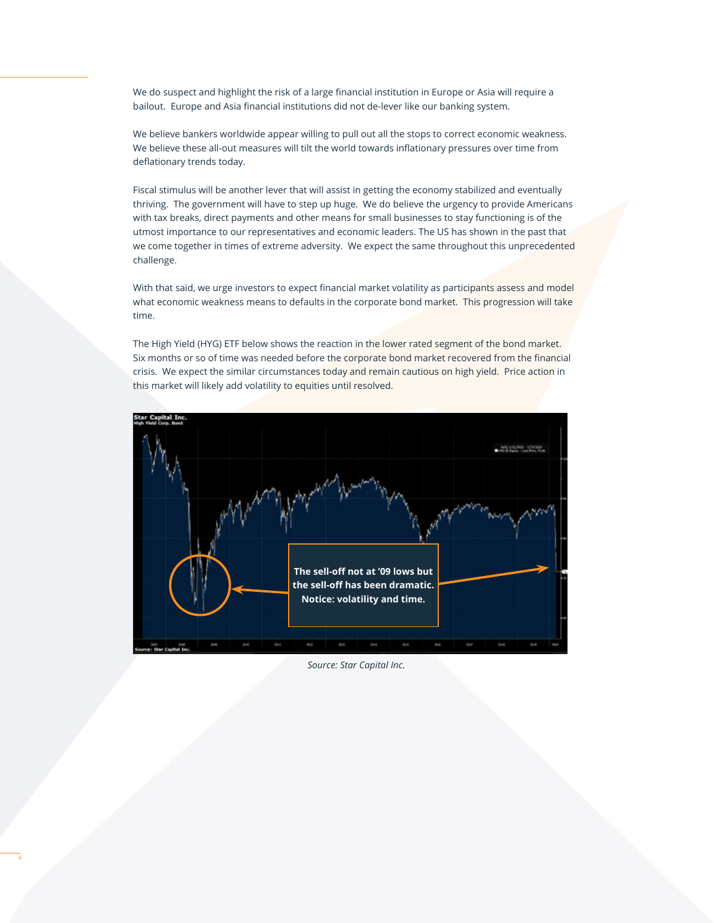We do suspect and highlight the risk of a large financial institution in Europe or Asia will require a bailout. Europe and Asia financial institutions did not de-lever like our banking system.

We believe bankers worldwide appear willing to pull out all the stops to correct economic weakness. We believe these all-out measures will tilt the world towards inflationary pressures over time from deflationary trends today.

Fiscal stimulus will be another lever that will assist in getting the economy stabilized and eventually thriving. The government will have to step up huge. We do believe the urgency to provide Americans with tax breaks, direct payments and other means for small businesses to stay functioning is of the utmost importance to our representatives and economic leaders. The US has shown in the past that we come together in times of extreme adversity. We expect the same throughout this unprecedented challenge.

With that said, we urge investors to expect financial market volatility as participants assess and model what economic weakness means to defaults in the corporate bond market. This progression will take time.

The High Yield (HYG) ETF below shows the reaction in the lower rated segment of the bond market. Six months or so of time was needed before the corporate bond market recovered from the financial crisis. We expect the similar circumstances today and remain cautious on high yield. Price action in this market will likely add volatility to equities until resolved.



*Source: Star Capital Inc.*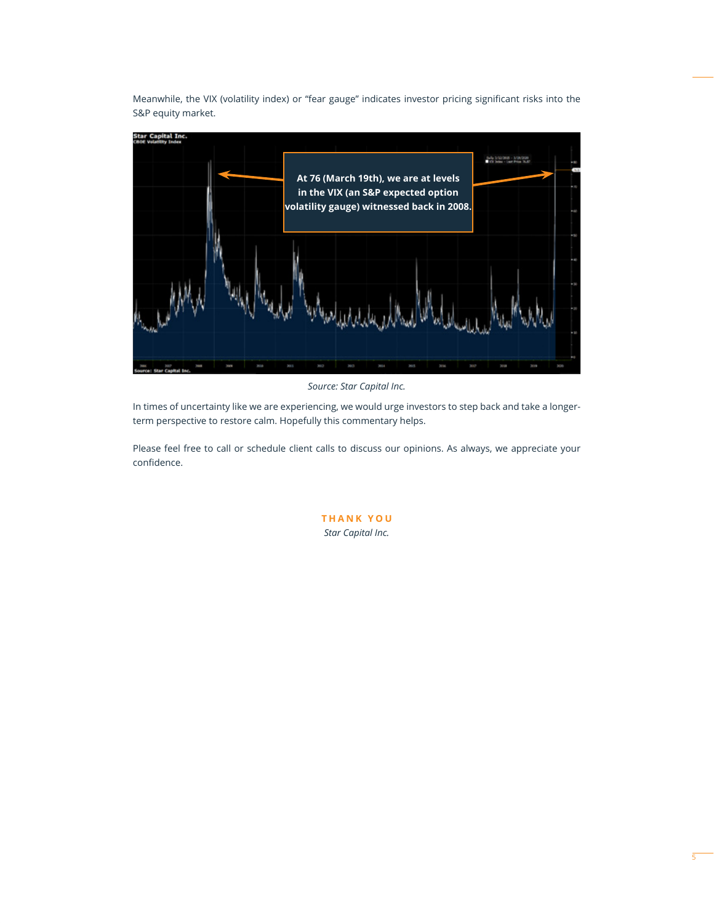Meanwhile, the VIX (volatility index) or "fear gauge" indicates investor pricing significant risks into the S&P equity market.



*Source: Star Capital Inc.*

In times of uncertainty like we are experiencing, we would urge investors to step back and take a longerterm perspective to restore calm. Hopefully this commentary helps.

Please feel free to call or schedule client calls to discuss our opinions. As always, we appreciate your confidence.

> **THANK YOU** *Star Capital Inc.*